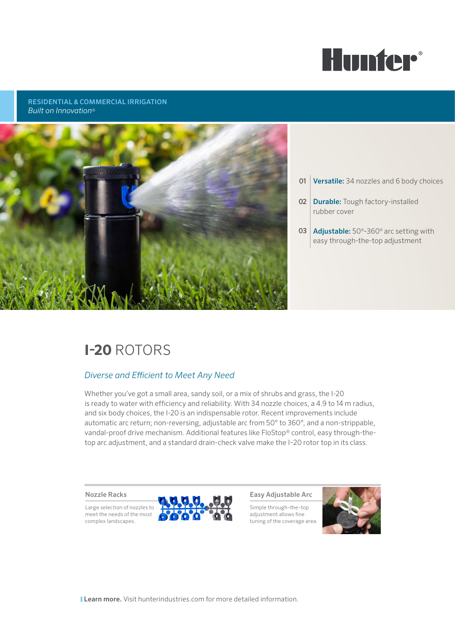

### RESIDENTIAL & COMMERCIAL IRRIGATION *Built on Innovation*®



- **01 Versatile:** 34 nozzles and 6 body choices
- 02 Durable: Tough factory-installed rubber cover
- 03 Adjustable: 50°-360° arc setting with easy through-the-top adjustment

# **I-20** ROTORS

### *Diverse and Efficient to Meet Any Need*

Whether you've got a small area, sandy soil, or a mix of shrubs and grass, the I-20 is ready to water with efficiency and reliability. With 34 nozzle choices, a 4.9 to 14 m radius, and six body choices, the I-20 is an indispensable rotor. Recent improvements include automatic arc return; non-reversing, adjustable arc from 50° to 360°, and a non-strippable, vandal-proof drive mechanism. Additional features like FloStop® control, easy through-thetop arc adjustment, and a standard drain-check valve make the I–20 rotor top in its class.

#### Nozzle Racks

Large selection of nozzles to meet the needs of the most complex landscapes.



Easy Adjustable Arc

Simple through–the–top adjustment allows fine tuning of the coverage area.



**Learn more.** Visit hunterindustries.com for more detailed information.